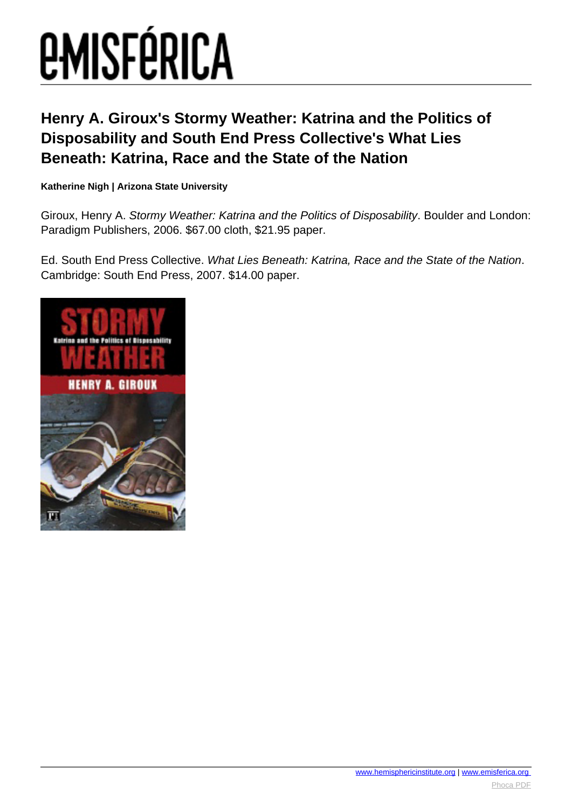# **EMISFÉRICA**

### **Henry A. Giroux's Stormy Weather: Katrina and the Politics of Disposability and South End Press Collective's What Lies Beneath: Katrina, Race and the State of the Nation**

### **Katherine Nigh | Arizona State University**

Giroux, Henry A. Stormy Weather: Katrina and the Politics of Disposability. Boulder and London: Paradigm Publishers, 2006. \$67.00 cloth, \$21.95 paper.

Ed. South End Press Collective. What Lies Beneath: Katrina, Race and the State of the Nation. Cambridge: South End Press, 2007. \$14.00 paper.

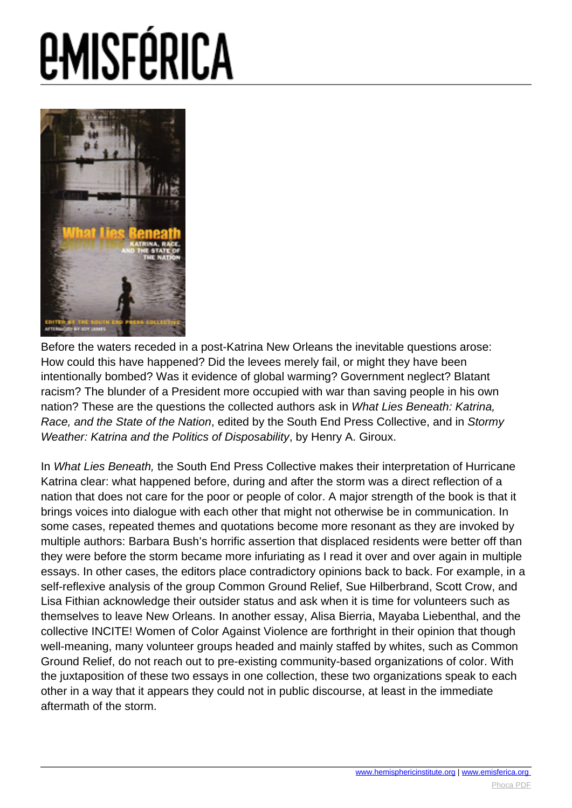# *EMISFÉRICA*



Before the waters receded in a post-Katrina New Orleans the inevitable questions arose: How could this have happened? Did the levees merely fail, or might they have been intentionally bombed? Was it evidence of global warming? Government neglect? Blatant racism? The blunder of a President more occupied with war than saving people in his own nation? These are the questions the collected authors ask in What Lies Beneath: Katrina, Race, and the State of the Nation, edited by the South End Press Collective, and in Stormy Weather: Katrina and the Politics of Disposability, by Henry A. Giroux.

In What Lies Beneath, the South End Press Collective makes their interpretation of Hurricane Katrina clear: what happened before, during and after the storm was a direct reflection of a nation that does not care for the poor or people of color. A major strength of the book is that it brings voices into dialogue with each other that might not otherwise be in communication. In some cases, repeated themes and quotations become more resonant as they are invoked by multiple authors: Barbara Bush's horrific assertion that displaced residents were better off than they were before the storm became more infuriating as I read it over and over again in multiple essays. In other cases, the editors place contradictory opinions back to back. For example, in a self-reflexive analysis of the group Common Ground Relief, Sue Hilberbrand, Scott Crow, and Lisa Fithian acknowledge their outsider status and ask when it is time for volunteers such as themselves to leave New Orleans. In another essay, Alisa Bierria, Mayaba Liebenthal, and the collective INCITE! Women of Color Against Violence are forthright in their opinion that though well-meaning, many volunteer groups headed and mainly staffed by whites, such as Common Ground Relief, do not reach out to pre-existing community-based organizations of color. With the juxtaposition of these two essays in one collection, these two organizations speak to each other in a way that it appears they could not in public discourse, at least in the immediate aftermath of the storm.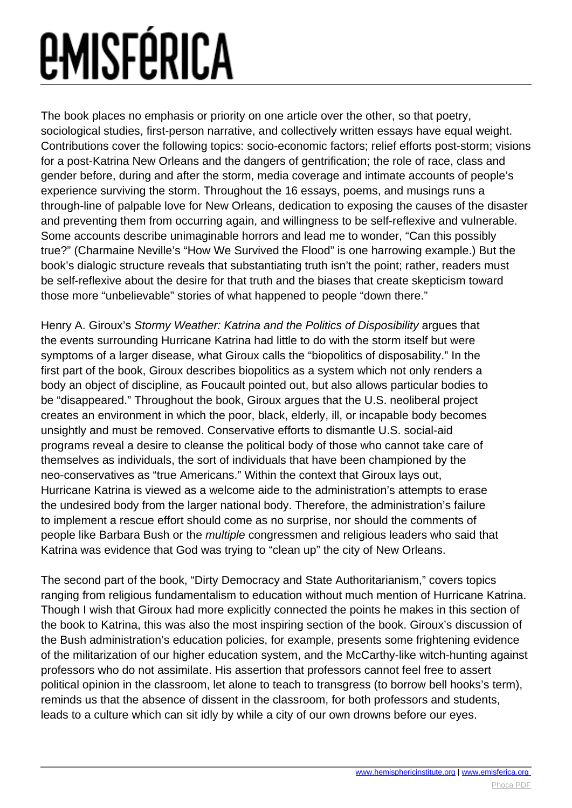## *<u>EMISFÉRICA</u>*

The book places no emphasis or priority on one article over the other, so that poetry, sociological studies, first-person narrative, and collectively written essays have equal weight. Contributions cover the following topics: socio-economic factors; relief efforts post-storm; visions for a post-Katrina New Orleans and the dangers of gentrification; the role of race, class and gender before, during and after the storm, media coverage and intimate accounts of people's experience surviving the storm. Throughout the 16 essays, poems, and musings runs a through-line of palpable love for New Orleans, dedication to exposing the causes of the disaster and preventing them from occurring again, and willingness to be self-reflexive and vulnerable. Some accounts describe unimaginable horrors and lead me to wonder, "Can this possibly true?" (Charmaine Neville's "How We Survived the Flood" is one harrowing example.) But the book's dialogic structure reveals that substantiating truth isn't the point; rather, readers must be self-reflexive about the desire for that truth and the biases that create skepticism toward those more "unbelievable" stories of what happened to people "down there."

Henry A. Giroux's Stormy Weather: Katrina and the Politics of Disposibility argues that the events surrounding Hurricane Katrina had little to do with the storm itself but were symptoms of a larger disease, what Giroux calls the "biopolitics of disposability." In the first part of the book, Giroux describes biopolitics as a system which not only renders a body an object of discipline, as Foucault pointed out, but also allows particular bodies to be "disappeared." Throughout the book, Giroux argues that the U.S. neoliberal project creates an environment in which the poor, black, elderly, ill, or incapable body becomes unsightly and must be removed. Conservative efforts to dismantle U.S. social-aid programs reveal a desire to cleanse the political body of those who cannot take care of themselves as individuals, the sort of individuals that have been championed by the neo-conservatives as "true Americans." Within the context that Giroux lays out, Hurricane Katrina is viewed as a welcome aide to the administration's attempts to erase the undesired body from the larger national body. Therefore, the administration's failure to implement a rescue effort should come as no surprise, nor should the comments of people like Barbara Bush or the multiple congressmen and religious leaders who said that Katrina was evidence that God was trying to "clean up" the city of New Orleans.

The second part of the book, "Dirty Democracy and State Authoritarianism," covers topics ranging from religious fundamentalism to education without much mention of Hurricane Katrina. Though I wish that Giroux had more explicitly connected the points he makes in this section of the book to Katrina, this was also the most inspiring section of the book. Giroux's discussion of the Bush administration's education policies, for example, presents some frightening evidence of the militarization of our higher education system, and the McCarthy-like witch-hunting against professors who do not assimilate. His assertion that professors cannot feel free to assert political opinion in the classroom, let alone to teach to transgress (to borrow bell hooks's term), reminds us that the absence of dissent in the classroom, for both professors and students, leads to a culture which can sit idly by while a city of our own drowns before our eyes.